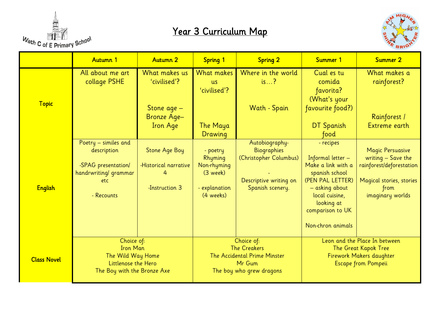

## Year 3 Curriculum Map



|                    | Autumn 1                                                                                                  | Autumn 2                                                             | <b>Spring 1</b>                                                                                         | <b>Spring 2</b>                                                                                              | Summer 1                                                                                                                                                                              | Summer 2                                                                                                                            |
|--------------------|-----------------------------------------------------------------------------------------------------------|----------------------------------------------------------------------|---------------------------------------------------------------------------------------------------------|--------------------------------------------------------------------------------------------------------------|---------------------------------------------------------------------------------------------------------------------------------------------------------------------------------------|-------------------------------------------------------------------------------------------------------------------------------------|
| <b>Topic</b>       | All about me art<br>collage PSHE                                                                          | What makes us<br>'civilised'?                                        | What makes<br><b>us</b><br>'civilised'?                                                                 | Where in the world<br>is?                                                                                    | Cual es tu<br>comida<br>favorita?<br>(What's your                                                                                                                                     | What makes a<br>rainforest?                                                                                                         |
|                    |                                                                                                           | Stone age -<br>Bronze Age-<br><b>Iron Age</b>                        | The Maya<br>Drawing                                                                                     | Wath - Spain                                                                                                 | favourite food?)<br>DT Spanish<br>food                                                                                                                                                | Rainforest /<br>Extreme earth                                                                                                       |
| <b>English</b>     | Poetry - similes and<br>description<br>-SPAG presentation/<br>handrwriting/ grammar<br>etc.<br>- Recounts | <b>Stone Age Boy</b><br>-Historical narrative<br>4<br>-Instruction 3 | - poetry<br>Rhyming<br>Non-rhyming<br>(3 week)<br>- explanation<br>(4 weeks)                            | Autobiography-<br><b>Biographies</b><br>(Christopher Columbus)<br>Descriptive writing on<br>Spanish scenery. | - recipes<br>Informal letter -<br>Make a link with a<br>spanish school<br>(PEN PAL LETTER)<br>- asking about<br>local cuisine,<br>looking at<br>comparison to UK<br>Non-chron animals | <b>Magic Persuasive</b><br>writing $-$ Save the<br>rainforest/deforestation<br>Magical stories, stories<br>from<br>imaginary worlds |
| <b>Class Novel</b> | Choice of:<br><b>Iron Man</b><br>The Wild Way Home<br>Littlenose the Hero<br>The Boy with the Bronze Axe  |                                                                      | Choice of:<br><b>The Creakers</b><br>The Accidental Prime Minster<br>Mr Gum<br>The boy who grew dragons |                                                                                                              | Leon and the Place In between<br>The Great Kapok Tree<br>Firework Makers daughter<br><b>Escape from Pompeii</b>                                                                       |                                                                                                                                     |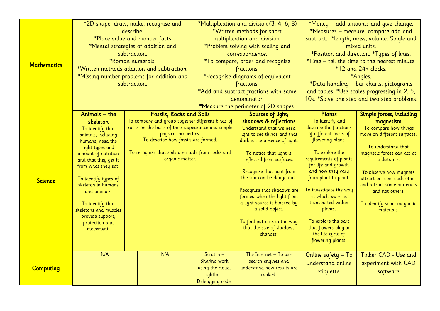|                    | *2D shape, draw, make, recognise and        |                                                                    | *Multiplication and division (3, 4, 6, 8) |                                                            | *Money - add amounts and give change.        |                                              |  |
|--------------------|---------------------------------------------|--------------------------------------------------------------------|-------------------------------------------|------------------------------------------------------------|----------------------------------------------|----------------------------------------------|--|
|                    |                                             | describe.                                                          |                                           | *Written methods for short                                 |                                              | *Measures - measure, compare add and         |  |
|                    |                                             | *Place value and number facts                                      |                                           | multiplication and division.                               | subtract. *length, mass, volume. Single and  |                                              |  |
|                    |                                             | *Mental strategies of addition and                                 |                                           | *Problem solving with scaling and                          | mixed units.                                 |                                              |  |
|                    |                                             | subtraction.                                                       | correspondence.                           |                                                            | *Position and direction. *Types of lines.    |                                              |  |
|                    |                                             | *Roman numerals.                                                   |                                           | *To compare, order and recognise                           |                                              | *Time – tell the time to the nearest minute. |  |
| <b>Mathematics</b> |                                             | *Written methods addition and subtraction.                         |                                           | fractions.                                                 |                                              | *12 and 24h clocks.                          |  |
|                    | *Missing number problems for addition and   |                                                                    | *Recognise diagrams of equivalent         |                                                            |                                              | *Angles.                                     |  |
|                    |                                             | subtraction.                                                       |                                           | fractions.                                                 |                                              | *Data handling - bar charts, pictograms      |  |
|                    |                                             |                                                                    | *Add and subtract fractions with same     |                                                            | and tables. *Use scales progressing in 2, 5, |                                              |  |
|                    |                                             |                                                                    | denominator.                              |                                                            | 10s. *Solve one step and two step problems.  |                                              |  |
|                    |                                             |                                                                    | *Measure the perimeter of 2D shapes.      |                                                            |                                              |                                              |  |
|                    | Animals - the                               | <b>Fossils, Rocks and Soils</b>                                    |                                           | Sources of light;                                          | <b>Plants</b>                                | Simple forces, including                     |  |
|                    | skeleton                                    | To compare and group together different kinds of                   |                                           | shadows & reflections                                      | To identify and                              | magnetism                                    |  |
|                    | To identify that                            | rocks on the basis of their appearance and simple                  |                                           | Understand that we need                                    | describe the functions                       | To compare how things                        |  |
|                    | animals, including                          | physical properties.                                               |                                           | light to see things and that                               | of different parts of                        | move on different surfaces.                  |  |
|                    | humans, need the                            | To describe how fossils are formed.                                |                                           | dark is the absence of light.                              | flowering plant.                             |                                              |  |
|                    | right types and                             |                                                                    |                                           |                                                            | To explore the                               | To understand that                           |  |
|                    | amount of nutrition                         | To recognise that soils are made from rocks and<br>organic matter. |                                           | To notice that light is<br>reflected from surfaces.        | requirements of plants                       | magnetic forces can act at<br>a distance.    |  |
|                    | and that they get it<br>from what they eat. |                                                                    |                                           |                                                            | for life and growth                          |                                              |  |
|                    |                                             |                                                                    |                                           | Recognise that light from                                  | and how they vary                            | To observe how magnets                       |  |
| <b>Science</b>     | To identify types of                        |                                                                    |                                           | the sun can be dangerous.                                  | from plant to plant.                         | attract or repel each other                  |  |
|                    | skeleton in humans                          |                                                                    |                                           |                                                            |                                              | and attract some materials                   |  |
|                    | and animals.                                |                                                                    |                                           | Recognise that shadows are                                 | To investigate the way                       | and not others.                              |  |
|                    |                                             |                                                                    |                                           | formed when the light from<br>a light source is blocked by | in which water is<br>transported within      |                                              |  |
|                    | To identify that<br>skeletons and muscles   |                                                                    |                                           | a solid object.                                            | plants.                                      | To identify some magnetic<br>materials.      |  |
|                    | provide support,                            |                                                                    |                                           |                                                            |                                              |                                              |  |
|                    | protection and                              |                                                                    |                                           | To find patterns in the way                                | To explore the part                          |                                              |  |
|                    | movement.                                   |                                                                    |                                           | that the size of shadows                                   | that flowers play in                         |                                              |  |
|                    |                                             |                                                                    |                                           | changes.                                                   | the life cycle of                            |                                              |  |
|                    |                                             |                                                                    |                                           |                                                            | flowering plants.                            |                                              |  |
| <b>Computing</b>   | N/A                                         | N/A                                                                | Scratch $-$                               | The Internet $-\bar{T}$ o use                              | Online safety - To                           | Tinker CAD - Use and                         |  |
|                    |                                             |                                                                    | Sharing work                              | search engines and                                         |                                              |                                              |  |
|                    |                                             |                                                                    | using the cloud.                          | understand how results are                                 | understand online                            | experiment with CAD                          |  |
|                    |                                             |                                                                    | Lightbot -                                | ranked.                                                    | etiquette.                                   | software                                     |  |
|                    |                                             |                                                                    | Debugging code.                           |                                                            |                                              |                                              |  |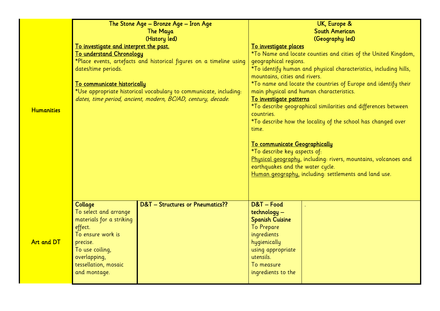|                   | The Stone Age - Bronze Age - Iron Age  |                                                                     | UK, Europe &                                                                              |  |  |
|-------------------|----------------------------------------|---------------------------------------------------------------------|-------------------------------------------------------------------------------------------|--|--|
|                   |                                        | The Maya                                                            | <b>South American</b>                                                                     |  |  |
|                   |                                        | (History led)                                                       | (Geography led)                                                                           |  |  |
|                   | To investigate and interpret the past. |                                                                     | To investigate places                                                                     |  |  |
|                   | To understand Chronology               |                                                                     | *To Name and locate counties and cities of the United Kingdom,                            |  |  |
|                   |                                        | *Place events, artefacts and historical figures on a timeline using | geographical regions.                                                                     |  |  |
|                   | dates/time periods.                    |                                                                     | *To identify human and physical characteristics, including hills,                         |  |  |
|                   |                                        |                                                                     | mountains, cities and rivers.                                                             |  |  |
|                   | To communicate historically            |                                                                     | *To name and locate the countries of Europe and identify their                            |  |  |
|                   |                                        | *Use appropriate historical vocabulary to communicate, including:   | main physical and human characteristics.                                                  |  |  |
|                   |                                        | dates, time period, ancient, modern, BC/AD, century, decade.        | To investigate patterns                                                                   |  |  |
| <b>Humanities</b> |                                        |                                                                     | *To describe geographical similarities and differences between                            |  |  |
|                   |                                        |                                                                     | countries.                                                                                |  |  |
|                   |                                        |                                                                     | *To describe how the locality of the school has changed over                              |  |  |
|                   |                                        |                                                                     | time.                                                                                     |  |  |
|                   |                                        |                                                                     |                                                                                           |  |  |
|                   |                                        |                                                                     | To communicate Geographically                                                             |  |  |
|                   |                                        |                                                                     | *To describe key aspects of:                                                              |  |  |
|                   |                                        |                                                                     | Physical geography, including: rivers, mountains, volcanoes and                           |  |  |
|                   |                                        |                                                                     | earthquakes and the water cycle.<br>Human geography, including: settlements and land use. |  |  |
|                   |                                        |                                                                     |                                                                                           |  |  |
|                   |                                        |                                                                     |                                                                                           |  |  |
|                   |                                        |                                                                     |                                                                                           |  |  |
|                   | Collage                                | D&T - Structures or Pneumatics??                                    | D&T-Food                                                                                  |  |  |
|                   | To select and arrange                  |                                                                     | technology -                                                                              |  |  |
| <b>Art and DT</b> | materials for a striking               |                                                                     | <b>Spanish Cuisine</b>                                                                    |  |  |
|                   | effect.                                |                                                                     | <b>To Prepare</b>                                                                         |  |  |
|                   | To ensure work is                      |                                                                     | ingredients                                                                               |  |  |
|                   | precise.                               |                                                                     | hygienically                                                                              |  |  |
|                   | To use coiling,                        |                                                                     | using appropriate                                                                         |  |  |
|                   | overlapping,                           |                                                                     | utensils.                                                                                 |  |  |
|                   | tessellation, mosaic                   |                                                                     | To measure                                                                                |  |  |
|                   | and montage.                           |                                                                     | ingredients to the                                                                        |  |  |
|                   |                                        |                                                                     |                                                                                           |  |  |